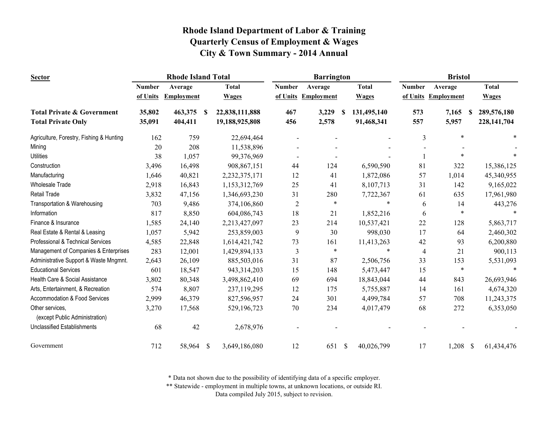| <b>Sector</b>                                     |               | <b>Rhode Island Total</b> |              |                |                | <b>Barrington</b> |                           |              |               |            |               |
|---------------------------------------------------|---------------|---------------------------|--------------|----------------|----------------|-------------------|---------------------------|--------------|---------------|------------|---------------|
|                                                   | <b>Number</b> | Average                   |              | <b>Total</b>   | <b>Number</b>  | Average           |                           | <b>Total</b> | <b>Number</b> | Average    | <b>Total</b>  |
|                                                   | of Units      | <b>Employment</b>         |              | <b>Wages</b>   | of Units       | Employment        |                           | <b>Wages</b> | of Units      | Employment | <b>Wages</b>  |
| <b>Total Private &amp; Government</b>             | 35,802        | 463,375                   | -S           | 22,838,111,888 | 467            | 3,229             | -S                        | 131,495,140  | 573           | 7,165<br>S | 289,576,180   |
| <b>Total Private Only</b>                         | 35,091        | 404,411                   |              | 19,188,925,808 | 456            | 2,578             |                           | 91,468,341   | 557           | 5,957      | 228, 141, 704 |
| Agriculture, Forestry, Fishing & Hunting          | 162           | 759                       |              | 22,694,464     |                |                   |                           |              | 3             | $\ast$     |               |
| Mining                                            | 20            | 208                       |              | 11,538,896     |                |                   |                           |              |               |            |               |
| <b>Utilities</b>                                  | 38            | 1,057                     |              | 99,376,969     |                |                   |                           |              |               | *          |               |
| Construction                                      | 3,496         | 16,498                    |              | 908,867,151    | 44             | 124               |                           | 6,590,590    | 81            | 322        | 15,386,125    |
| Manufacturing                                     | 1,646         | 40,821                    |              | 2,232,375,171  | 12             | 41                |                           | 1,872,086    | 57            | 1,014      | 45,340,955    |
| <b>Wholesale Trade</b>                            | 2,918         | 16,843                    |              | 1,153,312,769  | 25             | 41                |                           | 8,107,713    | 31            | 142        | 9,165,022     |
| <b>Retail Trade</b>                               | 3,832         | 47,156                    |              | 1,346,693,230  | 31             | 280               |                           | 7,722,367    | 61            | 635        | 17,961,980    |
| Transportation & Warehousing                      | 703           | 9,486                     |              | 374,106,860    | $\overline{c}$ | $\ast$            |                           | $\ast$       | 6             | 14         | 443,276       |
| Information                                       | 817           | 8,850                     |              | 604,086,743    | 18             | 21                |                           | 1,852,216    | 6             | *          |               |
| Finance & Insurance                               | 1,585         | 24,140                    |              | 2,213,427,097  | 23             | 214               |                           | 10,537,421   | 22            | 128        | 5,863,717     |
| Real Estate & Rental & Leasing                    | 1,057         | 5,942                     |              | 253,859,003    | 9              | 30                |                           | 998,030      | 17            | 64         | 2,460,302     |
| Professional & Technical Services                 | 4,585         | 22,848                    |              | 1,614,421,742  | 73             | 161               |                           | 11,413,263   | 42            | 93         | 6,200,880     |
| Management of Companies & Enterprises             | 283           | 12,001                    |              | 1,429,894,133  | 3              | $\ast$            |                           | $\ast$       | 4             | 21         | 900,113       |
| Administrative Support & Waste Mngmnt.            | 2,643         | 26,109                    |              | 885,503,016    | 31             | 87                |                           | 2,506,756    | 33            | 153        | 5,531,093     |
| <b>Educational Services</b>                       | 601           | 18,547                    |              | 943,314,203    | 15             | 148               |                           | 5,473,447    | 15            | $\ast$     |               |
| Health Care & Social Assistance                   | 3,802         | 80,348                    |              | 3,498,862,410  | 69             | 694               |                           | 18,843,044   | 44            | 843        | 26,693,946    |
| Arts, Entertainment, & Recreation                 | 574           | 8,807                     |              | 237,119,295    | 12             | 175               |                           | 5,755,887    | 14            | 161        | 4,674,320     |
| Accommodation & Food Services                     | 2,999         | 46,379                    |              | 827,596,957    | 24             | 301               |                           | 4,499,784    | 57            | 708        | 11,243,375    |
| Other services.<br>(except Public Administration) | 3,270         | 17,568                    |              | 529,196,723    | 70             | 234               |                           | 4,017,479    | 68            | 272        | 6,353,050     |
| <b>Unclassified Establishments</b>                | 68            | 42                        |              | 2,678,976      |                |                   |                           |              |               |            |               |
| Government                                        | 712           | 58,964                    | $\mathbb{S}$ | 3,649,186,080  | 12             | 651               | $\boldsymbol{\mathsf{S}}$ | 40,026,799   | 17            | $1,208$ \$ | 61,434,476    |

\* Data not shown due to the possibility of identifying data of a specific employer.

\*\* Statewide - employment in multiple towns, at unknown locations, or outside RI.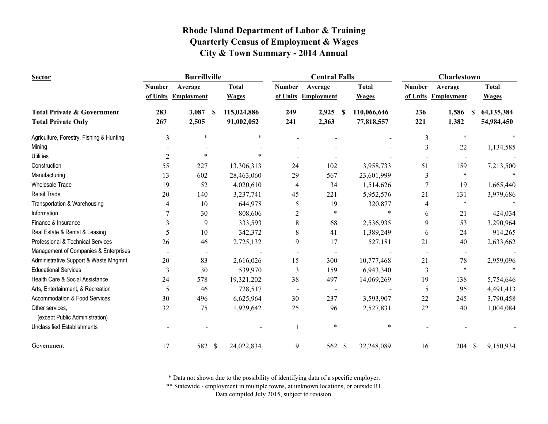| <b>Sector</b>                                     |               | <b>Burrillville</b> |    | <b>Central Falls</b> |                |                          |      | <b>Charlestown</b> |               |                     |              |
|---------------------------------------------------|---------------|---------------------|----|----------------------|----------------|--------------------------|------|--------------------|---------------|---------------------|--------------|
|                                                   | <b>Number</b> | Average             |    | <b>Total</b>         | <b>Number</b>  | Average                  |      | <b>Total</b>       | <b>Number</b> | Average             | <b>Total</b> |
|                                                   |               | of Units Employment |    | <b>Wages</b>         |                | of Units Employment      |      | <b>Wages</b>       |               | of Units Employment | <b>Wages</b> |
| <b>Total Private &amp; Government</b>             | 283           | 3,087               | -S | 115,024,886          | 249            | 2,925                    | - \$ | 110,066,646        | 236           | 1,586<br>-S         | 64,135,384   |
| <b>Total Private Only</b>                         | 267           | 2,505               |    | 91,002,052           | 241            | 2,363                    |      | 77,818,557         | 221           | 1,382               | 54,984,450   |
| Agriculture, Forestry, Fishing & Hunting          | 3             | $\ast$              |    | $\ast$               |                |                          |      |                    | 3             | $\ast$              |              |
| Mining                                            |               |                     |    |                      |                |                          |      |                    | 3             | 22                  | 1,134,585    |
| <b>Utilities</b>                                  | 2             | $\ast$              |    | $\ast$               |                |                          |      |                    |               | $\blacksquare$      |              |
| Construction                                      | 55            | 227                 |    | 13,306,313           | 24             | 102                      |      | 3,958,733          | 51            | 159                 | 7,213,500    |
| Manufacturing                                     | 13            | 602                 |    | 28,463,060           | 29             | 567                      |      | 23,601,999         | 3             | $\ast$              |              |
| <b>Wholesale Trade</b>                            | 19            | 52                  |    | 4,020,610            | 4              | 34                       |      | 1,514,626          | 7             | 19                  | 1,665,440    |
| <b>Retail Trade</b>                               | 20            | 140                 |    | 3,237,741            | 45             | 221                      |      | 5,952,576          | 21            | 131                 | 3,979,686    |
| Transportation & Warehousing                      | 4             | 10                  |    | 644,978              | 5              | 19                       |      | 320,877            | 4             | $\ast$              |              |
| Information                                       | 7             | 30                  |    | 808,606              | $\overline{c}$ | $\ast$                   |      |                    | 6             | 21                  | 424,034      |
| Finance & Insurance                               | 3             | 9                   |    | 333,593              | $\,$ 8 $\,$    | 68                       |      | 2,536,935          | 9             | 53                  | 3,290,964    |
| Real Estate & Rental & Leasing                    | 5             | 10                  |    | 342,372              | 8              | 41                       |      | 1,389,249          | 6             | 24                  | 914,265      |
| Professional & Technical Services                 | 26            | 46                  |    | 2,725,132            | 9              | 17                       |      | 527,181            | 21            | 40                  | 2,633,662    |
| Management of Companies & Enterprises             |               |                     |    |                      |                |                          |      |                    |               | $\blacksquare$      |              |
| Administrative Support & Waste Mngmnt.            | 20            | 83                  |    | 2,616,026            | 15             | 300                      |      | 10,777,468         | 21            | 78                  | 2,959,096    |
| <b>Educational Services</b>                       | 3             | 30                  |    | 539,970              | 3              | 159                      |      | 6,943,340          | 3             | $\ast$              |              |
| Health Care & Social Assistance                   | 24            | 578                 |    | 19,321,202           | 38             | 497                      |      | 14,069,269         | 19            | 138                 | 5,754,646    |
| Arts, Entertainment, & Recreation                 | 5             | 46                  |    | 728,517              | $\blacksquare$ | $\overline{\phantom{a}}$ |      |                    | 5             | 95                  | 4,491,413    |
| Accommodation & Food Services                     | 30            | 496                 |    | 6,625,964            | 30             | 237                      |      | 3,593,907          | 22            | 245                 | 3,790,458    |
| Other services,<br>(except Public Administration) | 32            | 75                  |    | 1,929,642            | 25             | 96                       |      | 2,527,831          | 22            | 40                  | 1,004,084    |
| <b>Unclassified Establishments</b>                |               |                     |    |                      |                | $\ast$                   |      | $\ast$             |               |                     |              |
| Government                                        | 17            | 582 \$              |    | 24,022,834           | 9              | 562 \$                   |      | 32,248,089         | 16            | 204 \$              | 9,150,934    |

\* Data not shown due to the possibility of identifying data of a specific employer.

\*\* Statewide - employment in multiple towns, at unknown locations, or outside RI.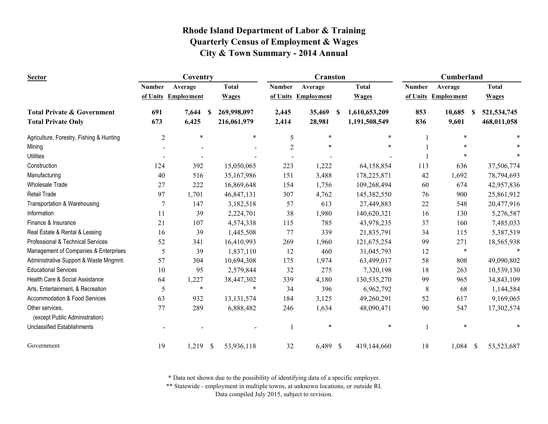| <b>Sector</b>                                     | Coventry       |                   |               |              | <b>Cranston</b> |                     |   |               | Cumberland    |                     |      |               |
|---------------------------------------------------|----------------|-------------------|---------------|--------------|-----------------|---------------------|---|---------------|---------------|---------------------|------|---------------|
|                                                   | <b>Number</b>  | Average           |               | <b>Total</b> | <b>Number</b>   | Average             |   | <b>Total</b>  | <b>Number</b> | Average             |      | <b>Total</b>  |
|                                                   | of Units       | <b>Employment</b> |               | <b>Wages</b> |                 | of Units Employment |   | <b>Wages</b>  |               | of Units Employment |      | <b>Wages</b>  |
| <b>Total Private &amp; Government</b>             | 691            | 7,644             | S             | 269,998,097  | 2,445           | 35,469              | S | 1,610,653,209 | 853           | 10,685              | S    | 521, 534, 745 |
| <b>Total Private Only</b>                         | 673            | 6,425             |               | 216,061,979  | 2,414           | 28,981              |   | 1,191,508,549 | 836           | 9,601               |      | 468,011,058   |
| Agriculture, Forestry, Fishing & Hunting          | $\overline{2}$ | $\ast$            |               | $\ast$       | 5               | $\ast$              |   | $\ast$        |               | *                   |      |               |
| Mining                                            |                |                   |               |              | $\overline{2}$  |                     |   | $\ast$        |               |                     |      |               |
| <b>Utilities</b>                                  |                |                   |               |              |                 |                     |   |               |               |                     |      |               |
| Construction                                      | 124            | 392               |               | 15,050,065   | 223             | 1,222               |   | 64,158,854    | 113           | 636                 |      | 37,506,774    |
| Manufacturing                                     | 40             | 516               |               | 35,167,986   | 151             | 3,488               |   | 178,225,871   | 42            | 1,692               |      | 78,794,693    |
| <b>Wholesale Trade</b>                            | 27             | 222               |               | 16,869,648   | 154             | 1,756               |   | 109,268,494   | 60            | 674                 |      | 42,957,836    |
| <b>Retail Trade</b>                               | 97             | 1,701             |               | 46,847,131   | 307             | 4,762               |   | 145,382,550   | 76            | 900                 |      | 25,861,912    |
| Transportation & Warehousing                      | $\overline{7}$ | 147               |               | 3,182,518    | 57              | 613                 |   | 27,449,883    | 22            | 548                 |      | 20,477,916    |
| Information                                       | 11             | 39                |               | 2,224,701    | 38              | 1,980               |   | 140,620,321   | 16            | 130                 |      | 5,276,587     |
| Finance & Insurance                               | 21             | 107               |               | 4,574,338    | 115             | 785                 |   | 43,978,235    | 37            | 160                 |      | 7,485,033     |
| Real Estate & Rental & Leasing                    | 16             | 39                |               | 1,445,508    | 77              | 339                 |   | 21,835,791    | 34            | 115                 |      | 5,387,519     |
| Professional & Technical Services                 | 52             | 341               |               | 16,410,993   | 269             | 1,960               |   | 121,675,254   | 99            | 271                 |      | 18,565,938    |
| Management of Companies & Enterprises             | 5              | 39                |               | 1,837,110    | 12              | 460                 |   | 31,045,793    | 12            | $\ast$              |      |               |
| Administrative Support & Waste Mngmnt.            | 57             | 304               |               | 10,694,308   | 175             | 1,974               |   | 63,499,017    | 58            | 808                 |      | 49,090,802    |
| <b>Educational Services</b>                       | 10             | 95                |               | 2,579,844    | 32              | 275                 |   | 7,320,198     | 18            | 263                 |      | 10,539,130    |
| Health Care & Social Assistance                   | 64             | 1,227             |               | 38,447,302   | 339             | 4,180               |   | 130,535,270   | 99            | 965                 |      | 34,843,109    |
| Arts, Entertainment, & Recreation                 | 5              | $\ast$            |               | $\ast$       | 34              | 396                 |   | 6,962,792     | $\,8\,$       | 68                  |      | 1,144,584     |
| Accommodation & Food Services                     | 63             | 932               |               | 13, 131, 574 | 184             | 3,125               |   | 49,260,291    | 52            | 617                 |      | 9,169,065     |
| Other services,<br>(except Public Administration) | 77             | 289               |               | 6,888,482    | 246             | 1,634               |   | 48,090,471    | 90            | 547                 |      | 17,302,574    |
| <b>Unclassified Establishments</b>                |                |                   |               |              |                 | $\ast$              |   | $\ast$        | $\mathbf{1}$  | *                   |      |               |
| Government                                        | 19             | 1,219             | $\mathcal{S}$ | 53,936,118   | 32              | 6,489 \$            |   | 419,144,660   | 18            | 1,084               | - \$ | 53,523,687    |

\* Data not shown due to the possibility of identifying data of a specific employer.

\*\* Statewide - employment in multiple towns, at unknown locations, or outside RI.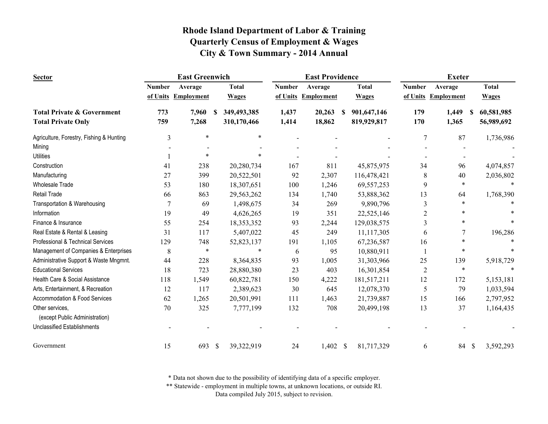| <b>Sector</b>                            |               | <b>East Greenwich</b> |                             |               | <b>East Providence</b> |                  | <b>Exeter</b>  |                     |                           |  |
|------------------------------------------|---------------|-----------------------|-----------------------------|---------------|------------------------|------------------|----------------|---------------------|---------------------------|--|
|                                          | <b>Number</b> | Average               | <b>Total</b>                | <b>Number</b> | Average                | <b>Total</b>     | <b>Number</b>  | Average             | <b>Total</b>              |  |
|                                          |               | of Units Employment   | <b>Wages</b>                |               | of Units Employment    | <b>Wages</b>     |                | of Units Employment | <b>Wages</b>              |  |
| <b>Total Private &amp; Government</b>    | 773           | 7,960                 | 349,493,385<br><b>S</b>     | 1,437         | 20,263                 | 901,647,146<br>S | 179            | 1,449<br>-S         | 60,581,985                |  |
| <b>Total Private Only</b>                | 759           | 7,268                 | 310,170,466                 | 1,414         | 18,862                 | 819,929,817      | 170            | 1,365               | 56,989,692                |  |
| Agriculture, Forestry, Fishing & Hunting | 3             | $\ast$                | $\ast$                      |               |                        |                  | 7              | 87                  | 1,736,986                 |  |
| Mining                                   |               |                       |                             |               |                        |                  |                |                     |                           |  |
| <b>Utilities</b>                         |               | $\ast$                | $\ast$                      |               |                        |                  |                |                     |                           |  |
| Construction                             | 41            | 238                   | 20,280,734                  | 167           | 811                    | 45,875,975       | 34             | 96                  | 4,074,857                 |  |
| Manufacturing                            | 27            | 399                   | 20,522,501                  | 92            | 2,307                  | 116,478,421      | 8              | 40                  | 2,036,802                 |  |
| <b>Wholesale Trade</b>                   | 53            | 180                   | 18,307,651                  | 100           | 1,246                  | 69,557,253       | 9              | $\ast$              | $\ast$                    |  |
| <b>Retail Trade</b>                      | 66            | 863                   | 29,563,262                  | 134           | 1,740                  | 53,888,362       | 13             | 64                  | 1,768,390                 |  |
| Transportation & Warehousing             | 7             | 69                    | 1,498,675                   | 34            | 269                    | 9,890,796        | 3              |                     |                           |  |
| Information                              | 19            | 49                    | 4,626,265                   | 19            | 351                    | 22,525,146       | $\overline{c}$ |                     |                           |  |
| Finance & Insurance                      | 55            | 254                   | 18,353,352                  | 93            | 2,244                  | 129,038,575      | 3              |                     |                           |  |
| Real Estate & Rental & Leasing           | 31            | 117                   | 5,407,022                   | 45            | 249                    | 11,117,305       | 6              | 7                   | 196,286                   |  |
| Professional & Technical Services        | 129           | 748                   | 52,823,137                  | 191           | 1,105                  | 67,236,587       | 16             | *                   |                           |  |
| Management of Companies & Enterprises    | 8             | $\ast$                | $\ast$                      | 6             | 95                     | 10,880,911       | -1             | $\ast$              |                           |  |
| Administrative Support & Waste Mngmnt.   | 44            | 228                   | 8,364,835                   | 93            | 1,005                  | 31,303,966       | 25             | 139                 | 5,918,729                 |  |
| <b>Educational Services</b>              | 18            | 723                   | 28,880,380                  | 23            | 403                    | 16,301,854       | $\overline{2}$ | $\ast$              | $\ast$                    |  |
| Health Care & Social Assistance          | 118           | 1,549                 | 60,822,781                  | 150           | 4,222                  | 181,517,211      | 12             | 172                 | 5,153,181                 |  |
| Arts, Entertainment, & Recreation        | 12            | 117                   | 2,389,623                   | 30            | 645                    | 12,078,370       | 5              | 79                  | 1,033,594                 |  |
| Accommodation & Food Services            | 62            | 1,265                 | 20,501,991                  | 111           | 1,463                  | 21,739,887       | 15             | 166                 | 2,797,952                 |  |
| Other services,                          | 70            | 325                   | 7,777,199                   | 132           | 708                    | 20,499,198       | 13             | 37                  | 1,164,435                 |  |
| (except Public Administration)           |               |                       |                             |               |                        |                  |                |                     |                           |  |
| <b>Unclassified Establishments</b>       |               |                       |                             |               |                        |                  |                |                     |                           |  |
| Government                               | 15            | 693                   | $\mathcal{S}$<br>39,322,919 | 24            | $1,402$ \$             | 81,717,329       | 6              | 84                  | 3,592,293<br>$\mathbb{S}$ |  |

\* Data not shown due to the possibility of identifying data of a specific employer.

\*\* Statewide - employment in multiple towns, at unknown locations, or outside RI.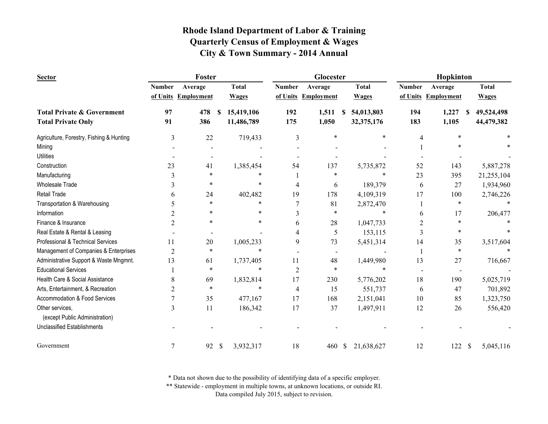| <b>Sector</b>                                     | Foster         |                   |               |              | Glocester      |                     |              |              | Hopkinton     |                     |    |              |
|---------------------------------------------------|----------------|-------------------|---------------|--------------|----------------|---------------------|--------------|--------------|---------------|---------------------|----|--------------|
|                                                   | <b>Number</b>  | Average           |               | <b>Total</b> | <b>Number</b>  | Average             |              | <b>Total</b> | <b>Number</b> | Average             |    | <b>Total</b> |
|                                                   | of Units       | <b>Employment</b> |               | <b>Wages</b> |                | of Units Employment |              | <b>Wages</b> |               | of Units Employment |    | <b>Wages</b> |
| <b>Total Private &amp; Government</b>             | 97             | 478               | -S            | 15,419,106   | 192            | 1,511               | S.           | 54,013,803   | 194           | 1,227               | -S | 49,524,498   |
| <b>Total Private Only</b>                         | 91             | 386               |               | 11,486,789   | 175            | 1,050               |              | 32,375,176   | 183           | 1,105               |    | 44,479,382   |
| Agriculture, Forestry, Fishing & Hunting          | 3              | 22                |               | 719,433      | 3              | $\ast$              |              | $\ast$       | 4             | $\ast$              |    |              |
| Mining                                            |                |                   |               |              |                |                     |              |              |               |                     |    |              |
| <b>Utilities</b>                                  |                |                   |               |              |                |                     |              |              |               |                     |    |              |
| Construction                                      | 23             | 41                |               | 1,385,454    | 54             | 137                 |              | 5,735,872    | 52            | 143                 |    | 5,887,278    |
| Manufacturing                                     | 3              | $\ast$            |               | $\ast$       |                | $\ast$              |              | *            | 23            | 395                 |    | 21,255,104   |
| <b>Wholesale Trade</b>                            | 3              | *                 |               | $\ast$       | 4              | 6                   |              | 189,379      | 6             | 27                  |    | 1,934,960    |
| <b>Retail Trade</b>                               | 6              | 24                |               | 402,482      | 19             | 178                 |              | 4,109,319    | 17            | 100                 |    | 2,746,226    |
| Transportation & Warehousing                      | 5              | $\ast$            |               | $\ast$       |                | 81                  |              | 2,872,470    |               | $\ast$              |    |              |
| Information                                       | $\overline{2}$ | *                 |               | $\ast$       | $\overline{3}$ | $\ast$              |              | *            | 6             | 17                  |    | 206,477      |
| Finance & Insurance                               | $\overline{c}$ | $\ast$            |               | $\ast$       | 6              | 28                  |              | 1,047,733    | 2             | $\ast$              |    |              |
| Real Estate & Rental & Leasing                    |                |                   |               |              | 4              | 5                   |              | 153,115      | 3             | $\ast$              |    |              |
| Professional & Technical Services                 | 11             | 20                |               | 1,005,233    | 9              | 73                  |              | 5,451,314    | 14            | 35                  |    | 3,517,604    |
| Management of Companies & Enterprises             | $\overline{2}$ | $\ast$            |               | $\ast$       |                |                     |              |              |               | $\ast$              |    |              |
| Administrative Support & Waste Mngmnt.            | 13             | 61                |               | 1,737,405    | 11             | 48                  |              | 1,449,980    | 13            | 27                  |    | 716,667      |
| <b>Educational Services</b>                       |                | $\ast$            |               | $\ast$       | $\overline{2}$ | $\ast$              |              | *            |               |                     |    |              |
| Health Care & Social Assistance                   | 8              | 69                |               | 1,832,814    | 17             | 230                 |              | 5,776,202    | 18            | 190                 |    | 5,025,719    |
| Arts, Entertainment, & Recreation                 | 2              | $\ast$            |               | $\ast$       | 4              | 15                  |              | 551,737      | 6             | 47                  |    | 701,892      |
| Accommodation & Food Services                     | 7              | 35                |               | 477,167      | 17             | 168                 |              | 2,151,041    | 10            | 85                  |    | 1,323,750    |
| Other services,<br>(except Public Administration) | 3              | 11                |               | 186,342      | 17             | 37                  |              | 1,497,911    | 12            | 26                  |    | 556,420      |
| <b>Unclassified Establishments</b>                |                |                   |               |              |                |                     |              |              |               |                     |    |              |
| Government                                        | 7              | 92                | $\mathcal{S}$ | 3,932,317    | 18             | 460                 | $\mathbb{S}$ | 21,638,627   | 12            | 122S                |    | 5,045,116    |

\* Data not shown due to the possibility of identifying data of a specific employer.

\*\* Statewide - employment in multiple towns, at unknown locations, or outside RI.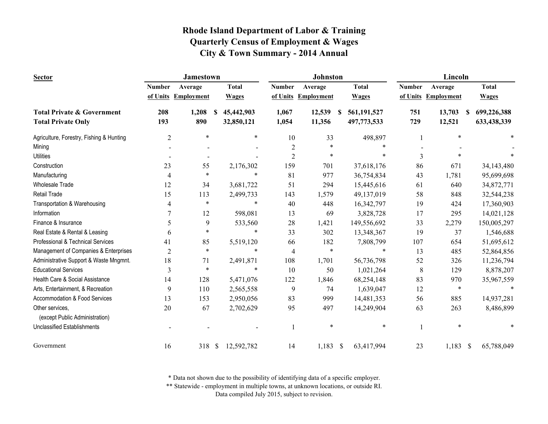| <b>Sector</b>                            |                | <b>Jamestown</b>    |                             |                  | <b>Johnston</b>     |                  | Lincoln       |                   |                             |  |
|------------------------------------------|----------------|---------------------|-----------------------------|------------------|---------------------|------------------|---------------|-------------------|-----------------------------|--|
|                                          | <b>Number</b>  | Average             | <b>Total</b>                | <b>Number</b>    | Average             | <b>Total</b>     | <b>Number</b> | Average           | <b>Total</b>                |  |
|                                          |                | of Units Employment | <b>Wages</b>                |                  | of Units Employment | <b>Wages</b>     | of Units      | <b>Employment</b> | <b>Wages</b>                |  |
| <b>Total Private &amp; Government</b>    | 208            | 1,208               | 45,442,903<br>-S            | 1,067            | 12,539              | 561,191,527<br>S | 751           | 13,703            | 699,226,388<br>S.           |  |
| <b>Total Private Only</b>                | 193            | 890                 | 32,850,121                  | 1,054            | 11,356              | 497,773,533      | 729           | 12,521            | 633,438,339                 |  |
| Agriculture, Forestry, Fishing & Hunting | $\overline{2}$ | $\ast$              | $\ast$                      | 10               | 33                  | 498,897          |               | ∗                 |                             |  |
| Mining                                   |                |                     |                             | $\boldsymbol{2}$ | $\ast$              |                  | $\ast$        |                   |                             |  |
| <b>Utilities</b>                         |                |                     |                             | $\overline{2}$   | ∗                   |                  | 3             |                   |                             |  |
| Construction                             | 23             | 55                  | 2,176,302                   | 159              | 701                 | 37,618,176       | 86            | 671               | 34,143,480                  |  |
| Manufacturing                            | $\overline{4}$ | $\ast$              | $\ast$                      | 81               | 977                 | 36,754,834       | 43            | 1,781             | 95,699,698                  |  |
| <b>Wholesale Trade</b>                   | 12             | 34                  | 3,681,722                   | 51               | 294                 | 15,445,616       | 61            | 640               | 34,872,771                  |  |
| <b>Retail Trade</b>                      | 15             | 113                 | 2,499,733                   | 143              | 1,579               | 49,137,019       | 58            | 848               | 32,544,238                  |  |
| Transportation & Warehousing             | 4              | $\ast$              | $\ast$                      | 40               | 448                 | 16,342,797       | 19            | 424               | 17,360,903                  |  |
| Information                              |                | 12                  | 598,081                     | 13               | 69                  | 3,828,728        | 17            | 295               | 14,021,128                  |  |
| Finance & Insurance                      | 5              | 9                   | 533,560                     | 28               | 1,421               | 149,556,692      | 33            | 2,279             | 150,005,297                 |  |
| Real Estate & Rental & Leasing           | 6              | $\ast$              | ∗                           | 33               | 302                 | 13,348,367       | 19            | 37                | 1,546,688                   |  |
| Professional & Technical Services        | 41             | 85                  | 5,519,120                   | 66               | 182                 | 7,808,799        | 107           | 654               | 51,695,612                  |  |
| Management of Companies & Enterprises    | $\overline{2}$ | $\ast$              | $\ast$                      | 4                | $\ast$              |                  | $\ast$<br>13  | 485               | 52,864,856                  |  |
| Administrative Support & Waste Mngmnt.   | 18             | 71                  | 2,491,871                   | 108              | 1,701               | 56,736,798       | 52            | 326               | 11,236,794                  |  |
| <b>Educational Services</b>              | 3              | $\ast$              | $\ast$                      | 10               | 50                  | 1,021,264        | $\,$ 8 $\,$   | 129               | 8,878,207                   |  |
| Health Care & Social Assistance          | 14             | 128                 | 5,471,076                   | 122              | 1,846               | 68,254,148       | 83            | 970               | 35,967,559                  |  |
| Arts, Entertainment, & Recreation        | 9              | 110                 | 2,565,558                   | 9                | 74                  | 1,639,047        | 12            | $\ast$            | $\ast$                      |  |
| Accommodation & Food Services            | 13             | 153                 | 2,950,056                   | 83               | 999                 | 14,481,353       | 56            | 885               | 14,937,281                  |  |
| Other services,                          | 20             | 67                  | 2,702,629                   | 95               | 497                 | 14,249,904       | 63            | 263               | 8,486,899                   |  |
| (except Public Administration)           |                |                     |                             |                  |                     |                  |               |                   |                             |  |
| <b>Unclassified Establishments</b>       |                |                     |                             | 1                | $\ast$              |                  | $\ast$        | $\ast$            |                             |  |
| Government                               | 16             | 318                 | $\mathcal{S}$<br>12,592,782 | 14               | $1,183$ \$          | 63,417,994       | 23            | 1,183             | $\mathcal{S}$<br>65,788,049 |  |

\* Data not shown due to the possibility of identifying data of a specific employer.

\*\* Statewide - employment in multiple towns, at unknown locations, or outside RI.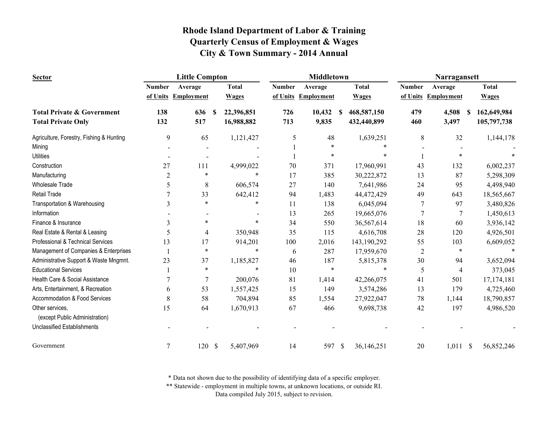| <b>Sector</b>                            |                | <b>Little Compton</b> |               |              | <b>Middletown</b> |                   |              |              | Narragansett   |                   |  |              |
|------------------------------------------|----------------|-----------------------|---------------|--------------|-------------------|-------------------|--------------|--------------|----------------|-------------------|--|--------------|
|                                          | <b>Number</b>  | Average               |               | <b>Total</b> | <b>Number</b>     | Average           |              | <b>Total</b> | <b>Number</b>  | Average           |  | <b>Total</b> |
|                                          |                | of Units Employment   |               | <b>Wages</b> | of Units          | <b>Employment</b> |              | <b>Wages</b> | of Units       | <b>Employment</b> |  | <b>Wages</b> |
| <b>Total Private &amp; Government</b>    | 138            | 636                   | \$.           | 22,396,851   | 726               | 10,432            | -S           | 468,587,150  | 479            | 4,508<br><b>S</b> |  | 162,649,984  |
| <b>Total Private Only</b>                | 132            | 517                   |               | 16,988,882   | 713               | 9,835             |              | 432,440,899  | 460            | 3,497             |  | 105,797,738  |
| Agriculture, Forestry, Fishing & Hunting | 9              | 65                    |               | 1,121,427    | 5                 | 48                |              | 1,639,251    | 8              | 32                |  | 1,144,178    |
| Mining                                   |                |                       |               |              |                   | $\ast$            |              |              |                |                   |  |              |
| <b>Utilities</b>                         |                |                       |               |              |                   | $\ast$            |              |              |                |                   |  |              |
| Construction                             | 27             | 111                   |               | 4,999,022    | 70                | 371               |              | 17,960,991   | 43             | 132               |  | 6,002,237    |
| Manufacturing                            | $\overline{2}$ | $\ast$                |               | $\ast$       | 17                | 385               |              | 30,222,872   | 13             | 87                |  | 5,298,309    |
| <b>Wholesale Trade</b>                   | 5              | 8                     |               | 606,574      | 27                | 140               |              | 7,641,986    | 24             | 95                |  | 4,498,940    |
| Retail Trade                             |                | 33                    |               | 642,412      | 94                | 1,483             |              | 44,472,429   | 49             | 643               |  | 18,565,667   |
| Transportation & Warehousing             | 3              | $\ast$                |               | $\ast$       | 11                | 138               |              | 6,045,094    | 7              | 97                |  | 3,480,826    |
| Information                              |                |                       |               |              | 13                | 265               |              | 19,665,076   | $\overline{7}$ | 7                 |  | 1,450,613    |
| Finance & Insurance                      | 3              | $\ast$                |               | $\ast$       | 34                | 550               |              | 36,567,614   | 18             | 60                |  | 3,936,142    |
| Real Estate & Rental & Leasing           | 5              | $\overline{4}$        |               | 350,948      | 35                | 115               |              | 4,616,708    | $28\,$         | 120               |  | 4,926,501    |
| Professional & Technical Services        | 13             | 17                    |               | 914,201      | 100               | 2,016             |              | 143,190,292  | 55             | 103               |  | 6,609,052    |
| Management of Companies & Enterprises    |                | $\ast$                |               | $\ast$       | 6                 | 287               |              | 17,959,670   | $\overline{c}$ | $\ast$            |  | $\ast$       |
| Administrative Support & Waste Mngmnt.   | 23             | 37                    |               | 1,185,827    | 46                | 187               |              | 5,815,378    | 30             | 94                |  | 3,652,094    |
| <b>Educational Services</b>              |                | $\ast$                |               | $\ast$       | 10                | $\ast$            |              | $\ast$       | 5              | 4                 |  | 373,045      |
| Health Care & Social Assistance          | 7              | 7                     |               | 200,076      | 81                | 1,414             |              | 42,266,075   | 41             | 501               |  | 17,174,181   |
| Arts, Entertainment, & Recreation        | 6              | 53                    |               | 1,557,425    | 15                | 149               |              | 3,574,286    | 13             | 179               |  | 4,725,460    |
| Accommodation & Food Services            | 8              | 58                    |               | 704,894      | 85                | 1,554             |              | 27,922,047   | 78             | 1,144             |  | 18,790,857   |
| Other services,                          | 15             | 64                    |               | 1,670,913    | 67                | 466               |              | 9,698,738    | 42             | 197               |  | 4,986,520    |
| (except Public Administration)           |                |                       |               |              |                   |                   |              |              |                |                   |  |              |
| <b>Unclassified Establishments</b>       |                |                       |               |              |                   |                   |              |              |                |                   |  |              |
| Government                               | 7              | 120                   | $\mathcal{S}$ | 5,407,969    | 14                | 597               | $\mathbb{S}$ | 36,146,251   | 20             | $1,011$ \$        |  | 56,852,246   |

\* Data not shown due to the possibility of identifying data of a specific employer.

\*\* Statewide - employment in multiple towns, at unknown locations, or outside RI.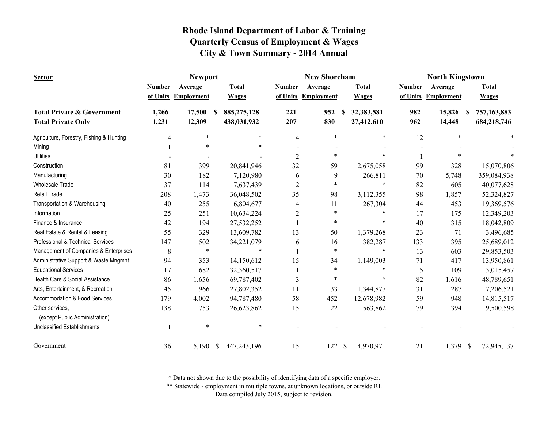| <b>Sector</b>                                     |               | <b>Newport</b>      |                  |                | <b>New Shoreham</b> |                 | <b>North Kingstown</b> |                   |                              |  |
|---------------------------------------------------|---------------|---------------------|------------------|----------------|---------------------|-----------------|------------------------|-------------------|------------------------------|--|
|                                                   | <b>Number</b> | Average             | <b>Total</b>     | <b>Number</b>  | Average             | <b>Total</b>    | <b>Number</b>          | Average           | <b>Total</b>                 |  |
|                                                   |               | of Units Employment | <b>Wages</b>     |                | of Units Employment | <b>Wages</b>    | of Units               | <b>Employment</b> | <b>Wages</b>                 |  |
| <b>Total Private &amp; Government</b>             | 1,266         | 17,500              | 885,275,128<br>S | 221            | 952                 | 32,383,581<br>S | 982                    | 15,826            | 757,163,883<br><sup>\$</sup> |  |
| <b>Total Private Only</b>                         | 1,231         | 12,309              | 438,031,932      | 207            | 830                 | 27,412,610      | 962                    | 14,448            | 684,218,746                  |  |
| Agriculture, Forestry, Fishing & Hunting          | 4             | $\ast$              | $\ast$           | 4              | $\ast$              | $\ast$          | 12                     | $\ast$            |                              |  |
| Mining                                            |               | $\ast$              | $\ast$           |                |                     |                 |                        |                   |                              |  |
| <b>Utilities</b>                                  |               |                     |                  | $\overline{2}$ | $\ast$              | $\ast$          |                        |                   |                              |  |
| Construction                                      | 81            | 399                 | 20,841,946       | 32             | 59                  | 2,675,058       | 99                     | 328               | 15,070,806                   |  |
| Manufacturing                                     | 30            | 182                 | 7,120,980        | 6              | 9                   | 266,811         | 70                     | 5,748             | 359,084,938                  |  |
| <b>Wholesale Trade</b>                            | 37            | 114                 | 7,637,439        | $\overline{c}$ | *                   | $\ast$          | 82                     | 605               | 40,077,628                   |  |
| Retail Trade                                      | 208           | 1,473               | 36,048,502       | 35             | 98                  | 3,112,355       | 98                     | 1,857             | 52,324,827                   |  |
| Transportation & Warehousing                      | 40            | 255                 | 6,804,677        | 4              | 11                  | 267,304         | 44                     | 453               | 19,369,576                   |  |
| Information                                       | 25            | 251                 | 10,634,224       | $\overline{c}$ | $\ast$              | $\ast$          | 17                     | 175               | 12,349,203                   |  |
| Finance & Insurance                               | 42            | 194                 | 27,532,252       |                | $\ast$              | $\ast$          | 40                     | 315               | 18,042,809                   |  |
| Real Estate & Rental & Leasing                    | 55            | 329                 | 13,609,782       | 13             | 50                  | 1,379,268       | 23                     | 71                | 3,496,685                    |  |
| Professional & Technical Services                 | 147           | 502                 | 34,221,079       | 6              | 16                  | 382,287         | 133                    | 395               | 25,689,012                   |  |
| Management of Companies & Enterprises             | 8             | $\ast$              | $\ast$           |                | $\ast$              | $\ast$          | 13                     | 603               | 29,853,503                   |  |
| Administrative Support & Waste Mngmnt.            | 94            | 353                 | 14,150,612       | 15             | 34                  | 1,149,003       | 71                     | 417               | 13,950,861                   |  |
| <b>Educational Services</b>                       | 17            | 682                 | 32,360,517       |                | $\ast$              | *               | 15                     | 109               | 3,015,457                    |  |
| Health Care & Social Assistance                   | 86            | 1,656               | 69,787,402       | 3              | $\ast$              | $\ast$          | 82                     | 1,616             | 48,789,651                   |  |
| Arts, Entertainment, & Recreation                 | 45            | 966                 | 27,802,352       | 11             | 33                  | 1,344,877       | 31                     | 287               | 7,206,521                    |  |
| Accommodation & Food Services                     | 179           | 4,002               | 94,787,480       | 58             | 452                 | 12,678,982      | 59                     | 948               | 14,815,517                   |  |
| Other services,<br>(except Public Administration) | 138           | 753                 | 26,623,862       | 15             | 22                  | 563,862         | 79                     | 394               | 9,500,598                    |  |
| <b>Unclassified Establishments</b>                |               | $\ast$              | $\ast$           |                |                     |                 |                        |                   |                              |  |
| Government                                        | 36            | 5,190 \$            | 447,243,196      | 15             | 122                 | \$<br>4,970,971 | 21                     | 1,379             | $\mathcal{S}$<br>72,945,137  |  |

\* Data not shown due to the possibility of identifying data of a specific employer.

\*\* Statewide - employment in multiple towns, at unknown locations, or outside RI.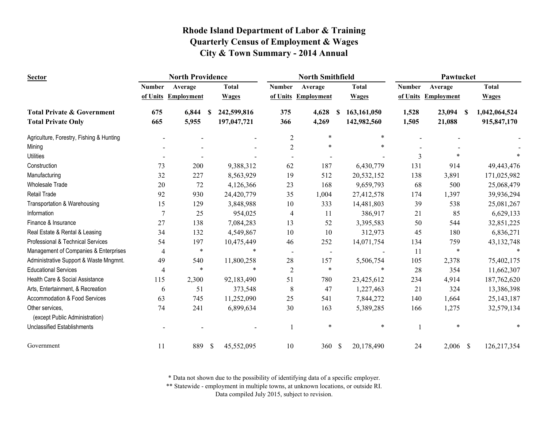| <b>Sector</b>                                     |                | <b>North Providence</b> |               | <b>North Smithfield</b> |                |                   |                           | Pawtucket    |                |                   |          |               |
|---------------------------------------------------|----------------|-------------------------|---------------|-------------------------|----------------|-------------------|---------------------------|--------------|----------------|-------------------|----------|---------------|
|                                                   | <b>Number</b>  | Average                 |               | <b>Total</b>            | <b>Number</b>  | Average           |                           | <b>Total</b> | <b>Number</b>  | Average           |          | <b>Total</b>  |
|                                                   | of Units       | <b>Employment</b>       |               | <b>Wages</b>            | of Units       | <b>Employment</b> |                           | <b>Wages</b> | of Units       | <b>Employment</b> |          | <b>Wages</b>  |
| <b>Total Private &amp; Government</b>             | 675            | 6,844                   | -S            | 242,599,816             | 375            | 4,628             | S                         | 163,161,050  | 1,528          | 23,094            | <b>S</b> | 1,042,064,524 |
| <b>Total Private Only</b>                         | 665            | 5,955                   |               | 197,047,721             | 366            | 4,269             |                           | 142,982,560  | 1,505          | 21,088            |          | 915,847,170   |
| Agriculture, Forestry, Fishing & Hunting          |                |                         |               |                         | $\mathbf{2}$   | $\ast$            |                           | $\ast$       |                |                   |          |               |
| Mining                                            |                |                         |               |                         | $\sqrt{2}$     | $\ast$            |                           | $\ast$       |                |                   |          |               |
| <b>Utilities</b>                                  |                |                         |               |                         |                |                   |                           |              | $\overline{3}$ | $\ast$            |          |               |
| Construction                                      | 73             | 200                     |               | 9,388,312               | 62             | 187               |                           | 6,430,779    | 131            | 914               |          | 49,443,476    |
| Manufacturing                                     | 32             | 227                     |               | 8,563,929               | 19             | 512               |                           | 20,532,152   | 138            | 3,891             |          | 171,025,982   |
| <b>Wholesale Trade</b>                            | 20             | 72                      |               | 4,126,366               | 23             | 168               |                           | 9,659,793    | 68             | 500               |          | 25,068,479    |
| Retail Trade                                      | 92             | 930                     |               | 24,420,779              | 35             | 1,004             |                           | 27,412,578   | 174            | 1,397             |          | 39,936,294    |
| Transportation & Warehousing                      | 15             | 129                     |               | 3,848,988               | 10             | 333               |                           | 14,481,803   | 39             | 538               |          | 25,081,267    |
| Information                                       | $\overline{7}$ | 25                      |               | 954,025                 | 4              | 11                |                           | 386,917      | 21             | 85                |          | 6,629,133     |
| Finance & Insurance                               | 27             | 138                     |               | 7,084,283               | 13             | 52                |                           | 3,395,583    | 50             | 544               |          | 32,851,225    |
| Real Estate & Rental & Leasing                    | 34             | 132                     |               | 4,549,867               | 10             | 10                |                           | 312,973      | 45             | 180               |          | 6,836,271     |
| Professional & Technical Services                 | 54             | 197                     |               | 10,475,449              | 46             | 252               |                           | 14,071,754   | 134            | 759               |          | 43, 132, 748  |
| Management of Companies & Enterprises             | $\overline{4}$ | $\ast$                  |               | $\ast$                  |                |                   |                           |              | 11             | $\ast$            |          |               |
| Administrative Support & Waste Mngmnt.            | 49             | 540                     |               | 11,800,258              | 28             | 157               |                           | 5,506,754    | 105            | 2,378             |          | 75,402,175    |
| <b>Educational Services</b>                       | $\overline{4}$ | $\ast$                  |               | $\ast$                  | $\overline{2}$ | $\ast$            |                           | *            | 28             | 354               |          | 11,662,307    |
| Health Care & Social Assistance                   | 115            | 2,300                   |               | 92,183,490              | 51             | 780               |                           | 23,425,612   | 234            | 4,914             |          | 187,762,620   |
| Arts, Entertainment, & Recreation                 | 6              | 51                      |               | 373,548                 | 8              | 47                |                           | 1,227,463    | 21             | 324               |          | 13,386,398    |
| Accommodation & Food Services                     | 63             | 745                     |               | 11,252,090              | 25             | 541               |                           | 7,844,272    | 140            | 1,664             |          | 25, 143, 187  |
| Other services,<br>(except Public Administration) | 74             | 241                     |               | 6,899,634               | 30             | 163               |                           | 5,389,285    | 166            | 1,275             |          | 32,579,134    |
| <b>Unclassified Establishments</b>                |                |                         |               |                         |                | $\ast$            |                           | $\ast$       |                | *                 |          |               |
| Government                                        | 11             | 889                     | <sup>\$</sup> | 45,552,095              | 10             | 360               | $\boldsymbol{\mathsf{S}}$ | 20,178,490   | 24             | $2,006$ \$        |          | 126,217,354   |

\* Data not shown due to the possibility of identifying data of a specific employer.

\*\* Statewide - employment in multiple towns, at unknown locations, or outside RI.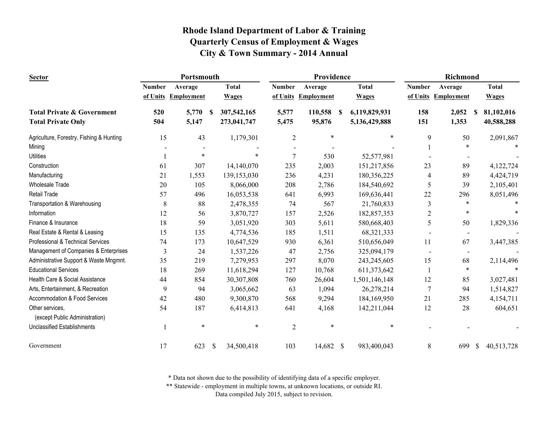| <b>Sector</b>                                     |               | Portsmouth          |               |              |                | Providence          |          |               |                | Richmond                 |              |              |  |
|---------------------------------------------------|---------------|---------------------|---------------|--------------|----------------|---------------------|----------|---------------|----------------|--------------------------|--------------|--------------|--|
|                                                   | <b>Number</b> | Average             |               | <b>Total</b> | <b>Number</b>  | Average             |          | <b>Total</b>  | <b>Number</b>  | Average                  |              | <b>Total</b> |  |
|                                                   |               | of Units Employment |               | <b>Wages</b> |                | of Units Employment |          | <b>Wages</b>  |                | of Units Employment      |              | <b>Wages</b> |  |
| <b>Total Private &amp; Government</b>             | 520           | 5,770               | -S            | 307,542,165  | 5,577          | 110,558             | <b>S</b> | 6,119,829,931 | 158            | 2,052                    | -S           | 81,102,016   |  |
| <b>Total Private Only</b>                         | 504           | 5,147               |               | 273,041,747  | 5,475          | 95,876              |          | 5,136,429,888 | 151            | 1,353                    |              | 40,588,288   |  |
| Agriculture, Forestry, Fishing & Hunting          | 15            | 43                  |               | 1,179,301    | $\overline{c}$ | $\ast$              |          | $\ast$        | 9              | 50                       |              | 2,091,867    |  |
| Mining                                            |               |                     |               |              |                |                     |          |               |                | $\ast$                   |              |              |  |
| <b>Utilities</b>                                  |               | $\ast$              |               | $\ast$       | 7              | 530                 |          | 52,577,981    |                |                          |              |              |  |
| Construction                                      | 61            | 307                 |               | 14,140,070   | 235            | 2,003               |          | 151,217,856   | 23             | 89                       |              | 4,122,724    |  |
| Manufacturing                                     | 21            | 1,553               |               | 139,153,030  | 236            | 4,231               |          | 180,356,225   | 4              | 89                       |              | 4,424,719    |  |
| <b>Wholesale Trade</b>                            | 20            | 105                 |               | 8,066,000    | 208            | 2,786               |          | 184,540,692   | 5              | 39                       |              | 2,105,401    |  |
| Retail Trade                                      | 57            | 496                 |               | 16,053,538   | 641            | 6,993               |          | 169,636,441   | 22             | 296                      |              | 8,051,496    |  |
| Transportation & Warehousing                      | 8             | 88                  |               | 2,478,355    | 74             | 567                 |          | 21,760,833    | 3              | *                        |              |              |  |
| Information                                       | 12            | 56                  |               | 3,870,727    | 157            | 2,526               |          | 182,857,353   | $\overline{2}$ | $\ast$                   |              |              |  |
| Finance & Insurance                               | 18            | 59                  |               | 3,051,920    | 303            | 5,611               |          | 580,668,403   | 5              | 50                       |              | 1,829,336    |  |
| Real Estate & Rental & Leasing                    | 15            | 135                 |               | 4,774,536    | 185            | 1,511               |          | 68, 321, 333  |                | $\overline{\phantom{a}}$ |              |              |  |
| Professional & Technical Services                 | 74            | 173                 |               | 10,647,529   | 930            | 6,361               |          | 510,656,049   | 11             | 67                       |              | 3,447,385    |  |
| Management of Companies & Enterprises             | 3             | 24                  |               | 1,537,226    | 47             | 2,756               |          | 325,094,179   |                |                          |              |              |  |
| Administrative Support & Waste Mngmnt.            | 35            | 219                 |               | 7,279,953    | 297            | 8,070               |          | 243,245,605   | 15             | 68                       |              | 2,114,496    |  |
| <b>Educational Services</b>                       | 18            | 269                 |               | 11,618,294   | 127            | 10,768              |          | 611,373,642   |                | $\ast$                   |              |              |  |
| Health Care & Social Assistance                   | 44            | 854                 |               | 30,307,808   | 760            | 26,604              |          | 1,501,146,148 | 12             | 85                       |              | 3,027,481    |  |
| Arts, Entertainment, & Recreation                 | 9             | 94                  |               | 3,065,662    | 63             | 1,094               |          | 26,278,214    | $\overline{7}$ | 94                       |              | 1,514,827    |  |
| Accommodation & Food Services                     | 42            | 480                 |               | 9,300,870    | 568            | 9,294               |          | 184,169,950   | 21             | 285                      |              | 4,154,711    |  |
| Other services,<br>(except Public Administration) | 54            | 187                 |               | 6,414,813    | 641            | 4,168               |          | 142,211,044   | 12             | 28                       |              | 604,651      |  |
| <b>Unclassified Establishments</b>                |               | $\ast$              |               | $\ast$       | $\overline{2}$ | $\ast$              |          | $\ast$        |                |                          |              |              |  |
| Government                                        | 17            | 623                 | $\mathcal{S}$ | 34,500,418   | 103            | 14,682 \$           |          | 983,400,043   | 8              | 699                      | $\mathbb{S}$ | 40,513,728   |  |

\* Data not shown due to the possibility of identifying data of a specific employer.

\*\* Statewide - employment in multiple towns, at unknown locations, or outside RI.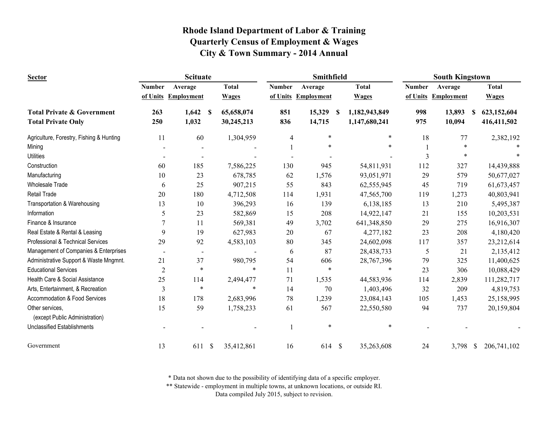| <b>Sector</b>                                     |                | <b>Scituate</b>          | Smithfield       |               |                   |                            | <b>South Kingstown</b> |                     |                              |  |
|---------------------------------------------------|----------------|--------------------------|------------------|---------------|-------------------|----------------------------|------------------------|---------------------|------------------------------|--|
|                                                   | <b>Number</b>  | Average                  | <b>Total</b>     | <b>Number</b> | Average           | <b>Total</b>               | <b>Number</b>          | Average             | <b>Total</b>                 |  |
|                                                   | of Units       | <b>Employment</b>        | <b>Wages</b>     | of Units      | <b>Employment</b> | <b>Wages</b>               |                        | of Units Employment | <b>Wages</b>                 |  |
| <b>Total Private &amp; Government</b>             | 263            | 1,642                    | 65,658,074<br>-S | 851           | 15,329            | 1,182,943,849<br>-S        | 998                    | 13,893              | 623,152,604<br><b>S</b>      |  |
| <b>Total Private Only</b>                         | 250            | 1,032                    | 30,245,213       | 836           | 14,715            | 1,147,680,241              | 975                    | 10,094              | 416,411,502                  |  |
| Agriculture, Forestry, Fishing & Hunting          | 11             | 60                       | 1,304,959        | 4             | $\ast$            | $\ast$                     | 18                     | 77                  | 2,382,192                    |  |
| Mining                                            |                |                          |                  |               |                   |                            |                        | $\ast$              |                              |  |
| <b>Utilities</b>                                  |                |                          |                  |               |                   |                            | 3                      | $\ast$              |                              |  |
| Construction                                      | 60             | 185                      | 7,586,225        | 130           | 945               | 54,811,931                 | 112                    | 327                 | 14,439,888                   |  |
| Manufacturing                                     | 10             | 23                       | 678,785          | 62            | 1,576             | 93,051,971                 | 29                     | 579                 | 50,677,027                   |  |
| <b>Wholesale Trade</b>                            | 6              | 25                       | 907,215          | 55            | 843               | 62,555,945                 | 45                     | 719                 | 61,673,457                   |  |
| <b>Retail Trade</b>                               | 20             | 180                      | 4,712,508        | 114           | 1,931             | 47,565,700                 | 119                    | 1,273               | 40,803,941                   |  |
| Transportation & Warehousing                      | 13             | 10                       | 396,293          | 16            | 139               | 6,138,185                  | 13                     | 210                 | 5,495,387                    |  |
| Information                                       | 5              | 23                       | 582,869          | 15            | 208               | 14,922,147                 | 21                     | 155                 | 10,203,531                   |  |
| Finance & Insurance                               | $\overline{7}$ | 11                       | 569,381          | 49            | 3,702             | 641,348,850                | 29                     | 275                 | 16,916,307                   |  |
| Real Estate & Rental & Leasing                    | 9              | 19                       | 627,983          | 20            | 67                | 4,277,182                  | 23                     | 208                 | 4,180,420                    |  |
| Professional & Technical Services                 | 29             | 92                       | 4,583,103        | 80            | 345               | 24,602,098                 | 117                    | 357                 | 23,212,614                   |  |
| Management of Companies & Enterprises             |                | $\overline{\phantom{a}}$ |                  | 6             | 87                | 28,438,733                 | 5                      | 21                  | 2,135,412                    |  |
| Administrative Support & Waste Mngmnt.            | 21             | 37                       | 980,795          | 54            | 606               | 28,767,396                 | 79                     | 325                 | 11,400,625                   |  |
| <b>Educational Services</b>                       | $\mathfrak{2}$ | $\ast$                   |                  | $\ast$<br>11  | $\ast$            | $\ast$                     | 23                     | 306                 | 10,088,429                   |  |
| Health Care & Social Assistance                   | 25             | 114                      | 2,494,477        | 71            | 1,535             | 44,583,936                 | 114                    | 2,839               | 111,282,717                  |  |
| Arts, Entertainment, & Recreation                 | 3              | $\ast$                   |                  | $\ast$<br>14  | 70                | 1,403,496                  | 32                     | 209                 | 4,819,753                    |  |
| Accommodation & Food Services                     | 18             | 178                      | 2,683,996        | 78            | 1,239             | 23,084,143                 | 105                    | 1,453               | 25,158,995                   |  |
| Other services,<br>(except Public Administration) | 15             | 59                       | 1,758,233        | 61            | 567               | 22,550,580                 | 94                     | 737                 | 20,159,804                   |  |
|                                                   |                |                          |                  |               | $\ast$            | $\ast$                     |                        |                     |                              |  |
| <b>Unclassified Establishments</b>                |                |                          |                  |               |                   |                            |                        |                     |                              |  |
| Government                                        | 13             | 611 \$                   | 35,412,861       | 16            | 614               | $\mathbb{S}$<br>35,263,608 | 24                     | 3,798               | 206,741,102<br>$\mathcal{S}$ |  |

\* Data not shown due to the possibility of identifying data of a specific employer.

\*\* Statewide - employment in multiple towns, at unknown locations, or outside RI.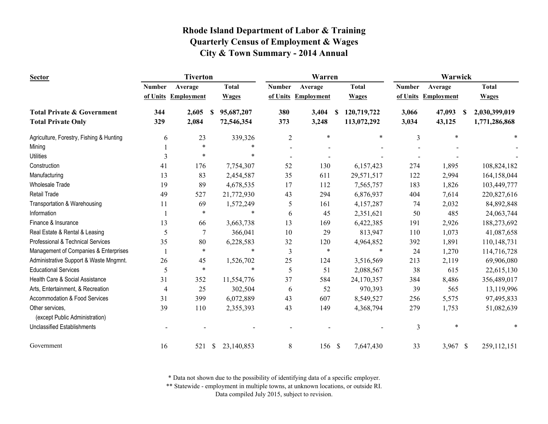| <b>Sector</b>                                     |               | <b>Tiverton</b>   |                             |                | Warren     |                  | Warwick       |                     |               |  |
|---------------------------------------------------|---------------|-------------------|-----------------------------|----------------|------------|------------------|---------------|---------------------|---------------|--|
|                                                   | <b>Number</b> | Average           | <b>Total</b>                | <b>Number</b>  | Average    | <b>Total</b>     | <b>Number</b> | Average             | <b>Total</b>  |  |
|                                                   | of Units      | <b>Employment</b> | <b>Wages</b>                | of Units       | Employment | <b>Wages</b>     |               | of Units Employment | <b>Wages</b>  |  |
| <b>Total Private &amp; Government</b>             | 344           | 2,605             | 95,687,207<br>-SS           | 380            | 3,404      | 120,719,722<br>S | 3,066         | 47,093<br>S         | 2,030,399,019 |  |
| <b>Total Private Only</b>                         | 329           | 2,084             | 72,546,354                  | 373            | 3,248      | 113,072,292      | 3,034         | 43,125              | 1,771,286,868 |  |
| Agriculture, Forestry, Fishing & Hunting          | 6             | 23                | 339,326                     | $\overline{2}$ | $\ast$     | *                | 3             | $\ast$              |               |  |
| Mining                                            |               | $\ast$            | *                           |                |            |                  |               |                     |               |  |
| <b>Utilities</b>                                  | 3             | *                 | $\ast$                      |                |            |                  |               |                     |               |  |
| Construction                                      | 41            | 176               | 7,754,307                   | 52             | 130        | 6,157,423        | 274           | 1,895               | 108,824,182   |  |
| Manufacturing                                     | 13            | 83                | 2,454,587                   | 35             | 611        | 29,571,517       | 122           | 2,994               | 164,158,044   |  |
| <b>Wholesale Trade</b>                            | 19            | 89                | 4,678,535                   | 17             | 112        | 7,565,757        | 183           | 1,826               | 103,449,777   |  |
| <b>Retail Trade</b>                               | 49            | 527               | 21,772,930                  | 43             | 294        | 6,876,937        | 404           | 7,614               | 220,827,616   |  |
| Transportation & Warehousing                      | 11            | 69                | 1,572,249                   | 5              | 161        | 4,157,287        | 74            | 2,032               | 84,892,848    |  |
| Information                                       |               | $\ast$            | $\ast$                      | 6              | 45         | 2,351,621        | 50            | 485                 | 24,063,744    |  |
| Finance & Insurance                               | 13            | 66                | 3,663,738                   | 13             | 169        | 6,422,385        | 191           | 2,926               | 188,273,692   |  |
| Real Estate & Rental & Leasing                    | 5             | $\overline{7}$    | 366,041                     | 10             | 29         | 813,947          | 110           | 1,073               | 41,087,658    |  |
| Professional & Technical Services                 | 35            | 80                | 6,228,583                   | 32             | 120        | 4,964,852        | 392           | 1,891               | 110,148,731   |  |
| Management of Companies & Enterprises             |               | $\ast$            | $\ast$                      | 3              | $\ast$     | *                | 24            | 1,270               | 114,716,728   |  |
| Administrative Support & Waste Mngmnt.            | 26            | 45                | 1,526,702                   | 25             | 124        | 3,516,569        | 213           | 2,119               | 69,906,080    |  |
| <b>Educational Services</b>                       | 5             | $\ast$            | $\ast$                      | 5              | 51         | 2,088,567        | 38            | 615                 | 22,615,130    |  |
| Health Care & Social Assistance                   | 31            | 352               | 11,554,776                  | 37             | 584        | 24,170,357       | 384           | 8,486               | 356,489,017   |  |
| Arts, Entertainment, & Recreation                 | 4             | 25                | 302,504                     | 6              | 52         | 970,393          | 39            | 565                 | 13,119,996    |  |
| Accommodation & Food Services                     | 31            | 399               | 6,072,889                   | 43             | 607        | 8,549,527        | 256           | 5,575               | 97,495,833    |  |
| Other services,<br>(except Public Administration) | 39            | 110               | 2,355,393                   | 43             | 149        | 4,368,794        | 279           | 1,753               | 51,082,639    |  |
| <b>Unclassified Establishments</b>                |               |                   |                             |                |            |                  | 3             | $\ast$              |               |  |
| Government                                        | 16            | 521               | 23,140,853<br><sup>\$</sup> | 8              | 156 \$     | 7,647,430        | 33            | 3,967 \$            | 259,112,151   |  |

\* Data not shown due to the possibility of identifying data of a specific employer.

\*\* Statewide - employment in multiple towns, at unknown locations, or outside RI.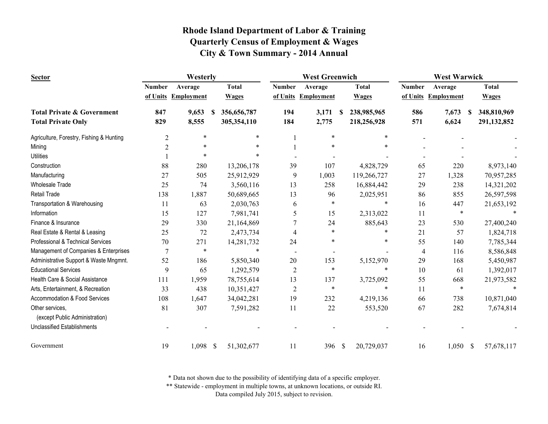| <b>Sector</b>                                     | Westerly       |                     |              |              |                | <b>West Greenwich</b> |    |              | <b>West Warwick</b> |                     |                  |  |
|---------------------------------------------------|----------------|---------------------|--------------|--------------|----------------|-----------------------|----|--------------|---------------------|---------------------|------------------|--|
|                                                   | <b>Number</b>  | Average             |              | <b>Total</b> | <b>Number</b>  | Average               |    | <b>Total</b> | <b>Number</b>       | Average             | <b>Total</b>     |  |
|                                                   |                | of Units Employment |              | <b>Wages</b> | of Units       | <b>Employment</b>     |    | <b>Wages</b> |                     | of Units Employment | <b>Wages</b>     |  |
| <b>Total Private &amp; Government</b>             | 847            | 9,653               | <b>S</b>     | 356,656,787  | 194            | 3,171                 | -S | 238,985,965  | 586                 | 7,673<br>S          | 348,810,969      |  |
| <b>Total Private Only</b>                         | 829            | 8,555               |              | 305,354,110  | 184            | 2,775                 |    | 218,256,928  | 571                 | 6,624               | 291,132,852      |  |
| Agriculture, Forestry, Fishing & Hunting          | $\overline{2}$ | *                   |              | *            |                | $\ast$                |    | *            |                     |                     |                  |  |
| Mining                                            | $\overline{c}$ | $\ast$              |              |              |                |                       |    |              |                     |                     |                  |  |
| <b>Utilities</b>                                  |                | ×                   |              |              |                |                       |    |              |                     |                     |                  |  |
| Construction                                      | 88             | 280                 |              | 13,206,178   | 39             | 107                   |    | 4,828,729    | 65                  | 220                 | 8,973,140        |  |
| Manufacturing                                     | 27             | 505                 |              | 25,912,929   | 9              | 1,003                 |    | 119,266,727  | 27                  | 1,328               | 70,957,285       |  |
| <b>Wholesale Trade</b>                            | 25             | 74                  |              | 3,560,116    | 13             | 258                   |    | 16,884,442   | 29                  | 238                 | 14,321,202       |  |
| <b>Retail Trade</b>                               | 138            | 1,887               |              | 50,689,665   | 13             | 96                    |    | 2,025,951    | 86                  | 855                 | 26,597,598       |  |
| Transportation & Warehousing                      | 11             | 63                  |              | 2,030,763    | 6              | ∗                     |    | $\ast$       | 16                  | 447                 | 21,653,192       |  |
| Information                                       | 15             | 127                 |              | 7,981,741    | 5              | 15                    |    | 2,313,022    | 11                  | $\ast$              |                  |  |
| Finance & Insurance                               | 29             | 330                 |              | 21,164,869   | $\overline{7}$ | 24                    |    | 885,643      | 23                  | 530                 | 27,400,240       |  |
| Real Estate & Rental & Leasing                    | 25             | 72                  |              | 2,473,734    | 4              | $\ast$                |    | $\ast$       | 21                  | 57                  | 1,824,718        |  |
| Professional & Technical Services                 | 70             | 271                 |              | 14,281,732   | 24             |                       |    | *            | 55                  | 140                 | 7,785,344        |  |
| Management of Companies & Enterprises             | 7              | $\ast$              |              | $\ast$       |                |                       |    |              | 4                   | 116                 | 8,586,848        |  |
| Administrative Support & Waste Mngmnt.            | 52             | 186                 |              | 5,850,340    | 20             | 153                   |    | 5,152,970    | 29                  | 168                 | 5,450,987        |  |
| <b>Educational Services</b>                       | 9              | 65                  |              | 1,292,579    | $\overline{2}$ | $\ast$                |    | $\ast$       | 10                  | 61                  | 1,392,017        |  |
| Health Care & Social Assistance                   | 111            | 1,959               |              | 78,755,614   | 13             | 137                   |    | 3,725,092    | 55                  | 668                 | 21,973,582       |  |
| Arts, Entertainment, & Recreation                 | 33             | 438                 |              | 10,351,427   | $\overline{2}$ | $\ast$                |    | $\ast$       | 11                  | $\ast$              |                  |  |
| Accommodation & Food Services                     | 108            | 1,647               |              | 34,042,281   | 19             | 232                   |    | 4,219,136    | 66                  | 738                 | 10,871,040       |  |
| Other services,<br>(except Public Administration) | 81             | 307                 |              | 7,591,282    | 11             | 22                    |    | 553,520      | 67                  | 282                 | 7,674,814        |  |
| <b>Unclassified Establishments</b>                |                |                     |              |              |                |                       |    |              |                     |                     |                  |  |
| Government                                        | 19             | 1,098               | $\mathbb{S}$ | 51,302,677   | 11             | 396 \$                |    | 20,729,037   | 16                  | 1,050               | -S<br>57,678,117 |  |

\* Data not shown due to the possibility of identifying data of a specific employer.

\*\* Statewide - employment in multiple towns, at unknown locations, or outside RI.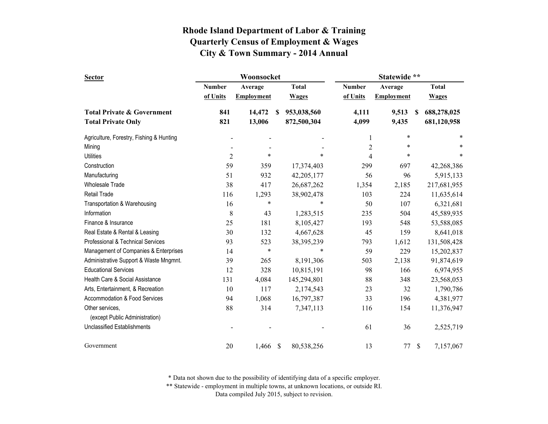| <b>Sector</b>                            |                | Woonsocket        |   |              | Statewide **   |                   |     |              |  |
|------------------------------------------|----------------|-------------------|---|--------------|----------------|-------------------|-----|--------------|--|
|                                          | <b>Number</b>  | Average           |   | <b>Total</b> | <b>Number</b>  | Average           |     | <b>Total</b> |  |
|                                          | of Units       | <b>Employment</b> |   | <b>Wages</b> | of Units       | <b>Employment</b> |     | <b>Wages</b> |  |
| <b>Total Private &amp; Government</b>    | 841            | 14,472            | S | 953,038,560  | 4,111          | 9,513             | \$. | 688,278,025  |  |
| <b>Total Private Only</b>                | 821            | 13,006            |   | 872,500,304  | 4,099          | 9,435             |     | 681,120,958  |  |
| Agriculture, Forestry, Fishing & Hunting |                |                   |   |              | 1              | $\ast$            |     | ∗            |  |
| Mining                                   |                |                   |   |              | $\overline{c}$ | ∗                 |     | ∗            |  |
| <b>Utilities</b>                         | $\overline{2}$ | $\ast$            |   | $\ast$       | $\overline{4}$ | $\ast$            |     | *            |  |
| Construction                             | 59             | 359               |   | 17,374,403   | 299            | 697               |     | 42,268,386   |  |
| Manufacturing                            | 51             | 932               |   | 42,205,177   | 56             | 96                |     | 5,915,133    |  |
| <b>Wholesale Trade</b>                   | 38             | 417               |   | 26,687,262   | 1,354          | 2,185             |     | 217,681,955  |  |
| Retail Trade                             | 116            | 1,293             |   | 38,902,478   | 103            | 224               |     | 11,635,614   |  |
| Transportation & Warehousing             | 16             | $\ast$            |   | $\ast$       | 50             | 107               |     | 6,321,681    |  |
| Information                              | 8              | 43                |   | 1,283,515    | 235            | 504               |     | 45,589,935   |  |
| Finance & Insurance                      | 25             | 181               |   | 8,105,427    | 193            | 548               |     | 53,588,085   |  |
| Real Estate & Rental & Leasing           | 30             | 132               |   | 4,667,628    | 45             | 159               |     | 8,641,018    |  |
| Professional & Technical Services        | 93             | 523               |   | 38,395,239   | 793            | 1,612             |     | 131,508,428  |  |
| Management of Companies & Enterprises    | 14             | $\ast$            |   | $\ast$       | 59             | 229               |     | 15,202,837   |  |
| Administrative Support & Waste Mngmnt.   | 39             | 265               |   | 8,191,306    | 503            | 2,138             |     | 91,874,619   |  |
| <b>Educational Services</b>              | 12             | 328               |   | 10,815,191   | 98             | 166               |     | 6,974,955    |  |
| Health Care & Social Assistance          | 131            | 4,084             |   | 145,294,801  | 88             | 348               |     | 23,568,053   |  |
| Arts, Entertainment, & Recreation        | 10             | 117               |   | 2,174,543    | 23             | 32                |     | 1,790,786    |  |
| Accommodation & Food Services            | 94             | 1,068             |   | 16,797,387   | 33             | 196               |     | 4,381,977    |  |
| Other services,                          | 88             | 314               |   | 7,347,113    | 116            | 154               |     | 11,376,947   |  |
| (except Public Administration)           |                |                   |   |              |                |                   |     |              |  |
| <b>Unclassified Establishments</b>       |                |                   |   |              | 61             | 36                |     | 2,525,719    |  |
| Government                               | 20             | 1,466             | S | 80,538,256   | 13             | 77                | -S  | 7,157,067    |  |

\* Data not shown due to the possibility of identifying data of a specific employer.

\*\* Statewide - employment in multiple towns, at unknown locations, or outside RI.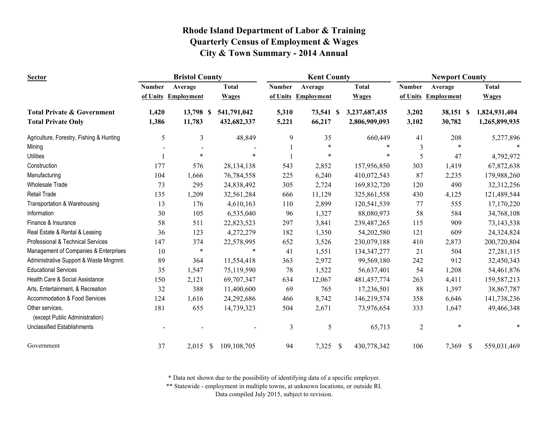| <b>Sector</b>                                     |               | <b>Bristol County</b> |                    |              |                | <b>Kent County</b> |              |               | <b>Newport County</b> |                   |               |               |
|---------------------------------------------------|---------------|-----------------------|--------------------|--------------|----------------|--------------------|--------------|---------------|-----------------------|-------------------|---------------|---------------|
|                                                   | <b>Number</b> | Average               | <b>Total</b>       |              | <b>Number</b>  | Average            |              | <b>Total</b>  | <b>Number</b>         | Average           |               | <b>Total</b>  |
|                                                   | of Units      | <b>Employment</b>     | <b>Wages</b>       |              | of Units       | <b>Employment</b>  |              | <b>Wages</b>  | of Units              | <b>Employment</b> |               | <b>Wages</b>  |
| <b>Total Private &amp; Government</b>             | 1,420         | 13,798 \$             |                    | 541,791,042  | 5,310          | 73,541 \$          |              | 3,237,687,435 | 3,202                 | 38,151 \$         |               | 1,824,931,404 |
| <b>Total Private Only</b>                         | 1,386         | 11,783                |                    | 432,682,337  | 5,221          | 66,217             |              | 2,806,909,093 | 3,102                 | 30,782            |               | 1,265,899,935 |
| Agriculture, Forestry, Fishing & Hunting          | 5             | 3                     |                    | 48,849       | 9              | 35                 |              | 660,449       | 41                    | 208               |               | 5,277,896     |
| Mining                                            |               |                       |                    |              |                | $\ast$             |              | $\ast$        | 3                     | $\ast$            |               | $\ast$        |
| <b>Utilities</b>                                  |               | $\ast$                |                    |              |                | $\ast$             |              | *             | 5                     | 47                |               | 4,792,972     |
| Construction                                      | 177           | 576                   |                    | 28, 134, 138 | 543            | 2,852              |              | 157,956,850   | 303                   | 1,419             |               | 67,872,638    |
| Manufacturing                                     | 104           | 1,666                 |                    | 76,784,558   | 225            | 6,240              |              | 410,072,543   | 87                    | 2,235             |               | 179,988,260   |
| <b>Wholesale Trade</b>                            | 73            | 295                   |                    | 24,838,492   | 305            | 2,724              |              | 169,832,720   | 120                   | 490               |               | 32,312,256    |
| <b>Retail Trade</b>                               | 135           | 1,209                 |                    | 32,561,284   | 666            | 11,129             |              | 325,861,558   | 430                   | 4,125             |               | 121,489,544   |
| Transportation & Warehousing                      | 13            | 176                   |                    | 4,610,163    | 110            | 2,899              |              | 120,541,539   | 77                    | 555               |               | 17,170,220    |
| Information                                       | 30            | 105                   |                    | 6,535,040    | 96             | 1,327              |              | 88,080,973    | 58                    | 584               |               | 34,768,108    |
| Finance & Insurance                               | 58            | 511                   |                    | 22,823,523   | 297            | 3,841              |              | 239,487,265   | 115                   | 909               |               | 73,143,538    |
| Real Estate & Rental & Leasing                    | 36            | 123                   |                    | 4,272,279    | 182            | 1,350              |              | 54,202,580    | 121                   | 609               |               | 24,324,824    |
| Professional & Technical Services                 | 147           | 374                   |                    | 22,578,995   | 652            | 3,526              |              | 230,079,188   | 410                   | 2,873             |               | 200,720,804   |
| Management of Companies & Enterprises             | 10            | $\ast$                |                    | $\ast$       | 41             | 1,551              |              | 134, 347, 277 | 21                    | 504               |               | 27,281,115    |
| Administrative Support & Waste Mngmnt.            | 89            | 364                   |                    | 11,554,418   | 363            | 2,972              |              | 99,569,180    | 242                   | 912               |               | 32,450,343    |
| <b>Educational Services</b>                       | 35            | 1,547                 |                    | 75,119,590   | 78             | 1,522              |              | 56,637,401    | 54                    | 1,208             |               | 54,461,876    |
| Health Care & Social Assistance                   | 150           | 2,121                 |                    | 69,707,347   | 634            | 12,067             |              | 481, 457, 774 | 263                   | 4,411             |               | 159,587,213   |
| Arts, Entertainment, & Recreation                 | 32            | 388                   |                    | 11,400,600   | 69             | 765                |              | 17,236,501    | 88                    | 1,397             |               | 38,867,787    |
| Accommodation & Food Services                     | 124           | 1,616                 |                    | 24,292,686   | 466            | 8,742              |              | 146,219,574   | 358                   | 6,646             |               | 141,738,236   |
| Other services,<br>(except Public Administration) | 181           | 655                   |                    | 14,739,323   | 504            | 2,671              |              | 73,976,654    | 333                   | 1,647             |               | 49,466,348    |
| Unclassified Establishments                       |               |                       |                    |              | $\mathfrak{Z}$ | 5                  |              | 65,713        | $\overline{2}$        | $\ast$            |               |               |
| Government                                        | 37            | 2,015                 | $\mathbf{\hat{s}}$ | 109,108,705  | 94             | 7,325              | $\mathbb{S}$ | 430,778,342   | 106                   | 7,369             | $\mathcal{S}$ | 559,031,469   |

\* Data not shown due to the possibility of identifying data of a specific employer.

\*\* Statewide - employment in multiple towns, at unknown locations, or outside RI.